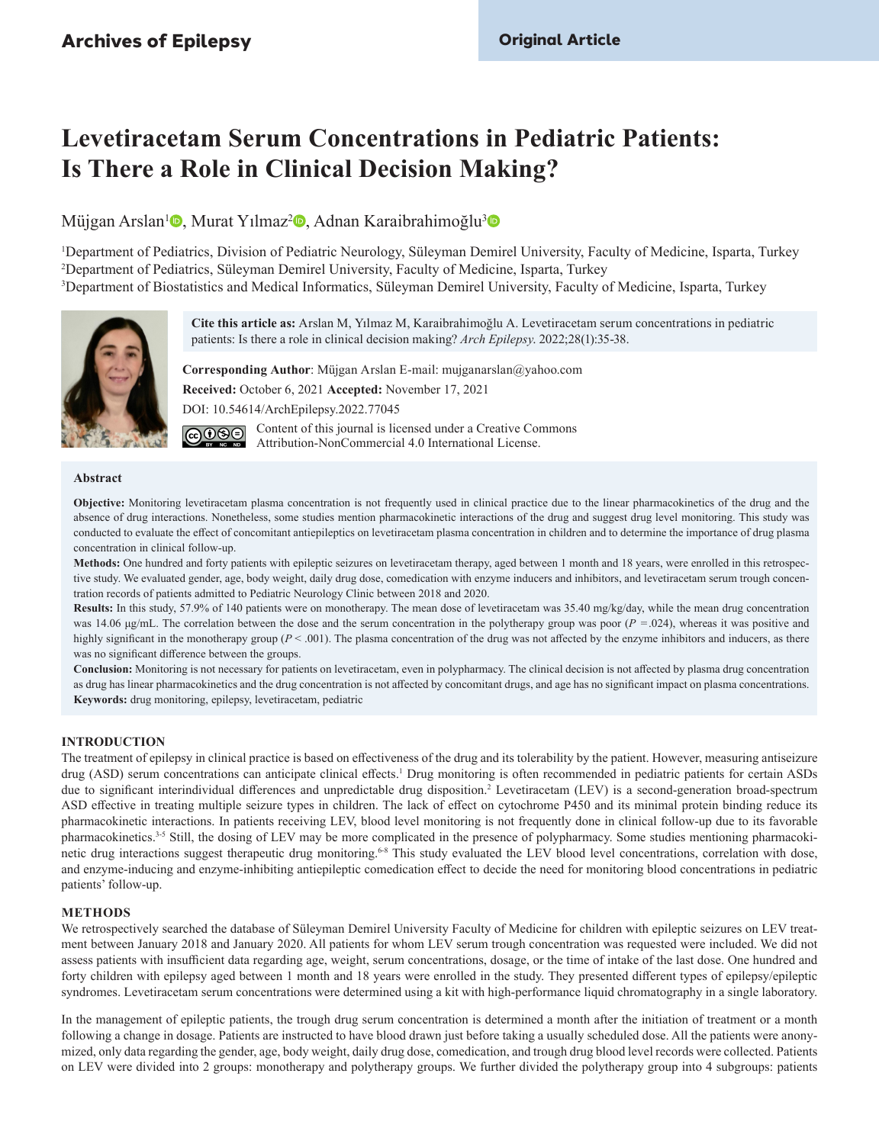# **Levetiracetam Serum Concentrations in Pediatric Patients: Is There a Role in Clinical Decision Making?**

Müjgan Arslan<sup>1</sup><sup>®</sup>[,](http://orcid.org/0000-0002-0486-3431) Murat Yılmaz<sup>[2](http://orcid.org/0000-0002-2181-8210)</sup>®, Adnan Karaibrahimoğlu<sup>3</sup>®

1 Department of Pediatrics, Division of Pediatric Neurology, Süleyman Demirel University, Faculty of Medicine, Isparta, Turkey 2 Department of Pediatrics, Süleyman Demirel University, Faculty of Medicine, Isparta, Turkey 3 Department of Biostatistics and Medical Informatics, Süleyman Demirel University, Faculty of Medicine, Isparta, Turkey



**Cite this article as:** Arslan M, Yılmaz M, Karaibrahimoğlu A. Levetiracetam serum concentrations in pediatric patients: Is there a role in clinical decision making? *Arch Epilepsy*. 2022;28(1):35-38.

**Corresponding Author**: Müjgan Arslan E-mail: [mujganarslan@yahoo.com](mailto:mujganarslan@yahoo.com) **Received:** October 6, 2021 **Accepted:** November 17, 2021 DOI: 10.54614/ArchEpilepsy.2022.77045 Content of this journal is licensed under a Creative Commons ெடு

Attribution-NonCommercial 4.0 International License.

## **Abstract**

**Objective:** Monitoring levetiracetam plasma concentration is not frequently used in clinical practice due to the linear pharmacokinetics of the drug and the absence of drug interactions. Nonetheless, some studies mention pharmacokinetic interactions of the drug and suggest drug level monitoring. This study was conducted to evaluate the effect of concomitant antiepileptics on levetiracetam plasma concentration in children and to determine the importance of drug plasma concentration in clinical follow-up.

**Methods:** One hundred and forty patients with epileptic seizures on levetiracetam therapy, aged between 1 month and 18 years, were enrolled in this retrospective study. We evaluated gender, age, body weight, daily drug dose, comedication with enzyme inducers and inhibitors, and levetiracetam serum trough concentration records of patients admitted to Pediatric Neurology Clinic between 2018 and 2020.

**Results:** In this study, 57.9% of 140 patients were on monotherapy. The mean dose of levetiracetam was 35.40 mg/kg/day, while the mean drug concentration was 14.06 μg/mL. The correlation between the dose and the serum concentration in the polytherapy group was poor (*P* =.024), whereas it was positive and highly significant in the monotherapy group  $(P < .001)$ . The plasma concentration of the drug was not affected by the enzyme inhibitors and inducers, as there was no significant difference between the groups.

**Conclusion:** Monitoring is not necessary for patients on levetiracetam, even in polypharmacy. The clinical decision is not affected by plasma drug concentration as drug has linear pharmacokinetics and the drug concentration is not affected by concomitant drugs, and age has no significant impact on plasma concentrations. **Keywords:** drug monitoring, epilepsy, levetiracetam, pediatric

## **INTRODUCTION**

The treatment of epilepsy in clinical practice is based on effectiveness of the drug and its tolerability by the patient. However, measuring antiseizure drug (ASD) serum concentrations can anticipate clinical effects.<sup>[1](#page-3-0)</sup> Drug monitoring is often recommended in pediatric patients for certain ASDs due to significant interindividual differences and unpredictable drug disposition.<sup>[2](#page-3-1)</sup> Levetiracetam (LEV) is a second-generation broad-spectrum ASD effective in treating multiple seizure types in children. The lack of effect on cytochrome P450 and its minimal protein binding reduce its pharmacokinetic interactions. In patients receiving LEV, blood level monitoring is not frequently done in clinical follow-up due to its favorable pharmacokinetics.[3-](#page-3-2)[5](#page-3-3) Still, the dosing of LEV may be more complicated in the presence of polypharmacy. Some studies mentioning pharmacoki-netic drug interactions suggest therapeutic drug monitoring.<sup>6[-8](#page-3-5)</sup> This study evaluated the LEV blood level concentrations, correlation with dose, and enzyme-inducing and enzyme-inhibiting antiepileptic comedication effect to decide the need for monitoring blood concentrations in pediatric patients' follow-up.

# **METHODS**

We retrospectively searched the database of Süleyman Demirel University Faculty of Medicine for children with epileptic seizures on LEV treatment between January 2018 and January 2020. All patients for whom LEV serum trough concentration was requested were included. We did not assess patients with insufficient data regarding age, weight, serum concentrations, dosage, or the time of intake of the last dose. One hundred and forty children with epilepsy aged between 1 month and 18 years were enrolled in the study. They presented different types of epilepsy/epileptic syndromes. Levetiracetam serum concentrations were determined using a kit with high-performance liquid chromatography in a single laboratory.

In the management of epileptic patients, the trough drug serum concentration is determined a month after the initiation of treatment or a month following a change in dosage. Patients are instructed to have blood drawn just before taking a usually scheduled dose. All the patients were anonymized, only data regarding the gender, age, body weight, daily drug dose, comedication, and trough drug blood level records were collected. Patients on LEV were divided into 2 groups: monotherapy and polytherapy groups. We further divided the polytherapy group into 4 subgroups: patients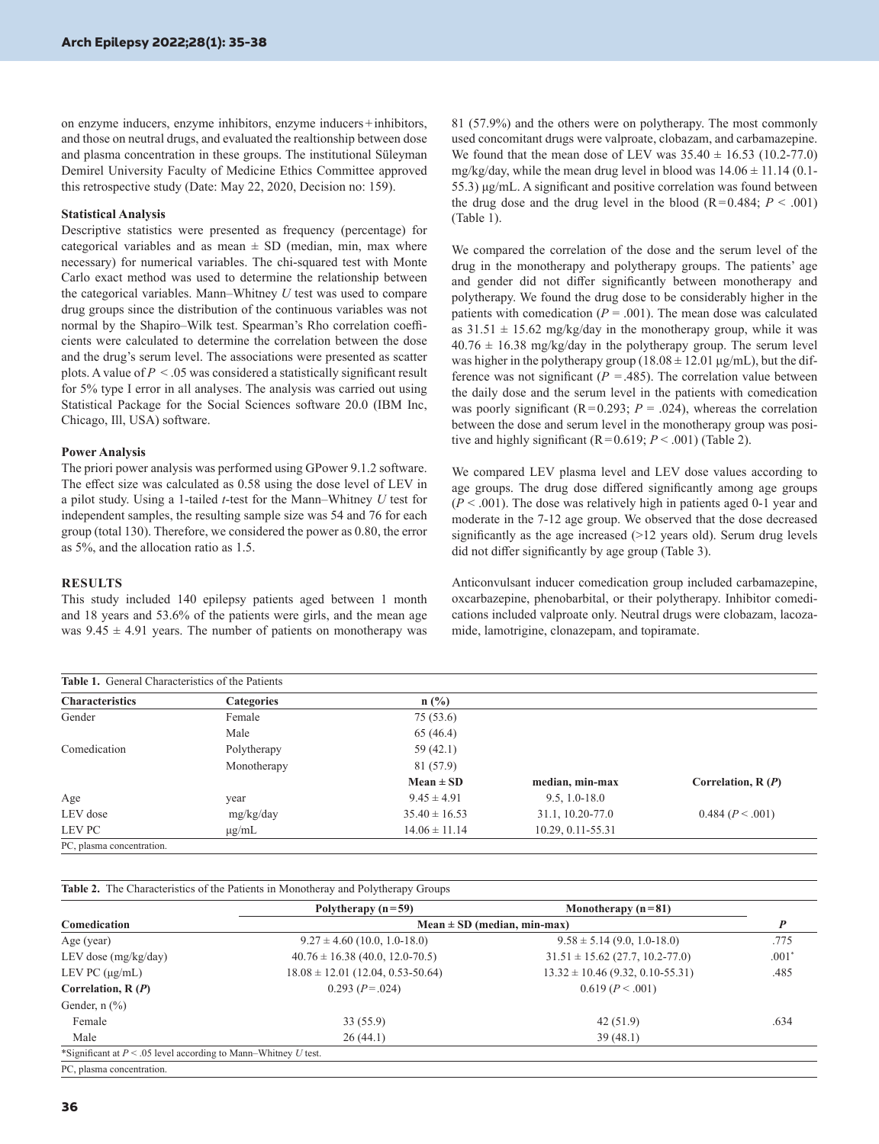on enzyme inducers, enzyme inhibitors, enzyme inducers+inhibitors, and those on neutral drugs, and evaluated the realtionship between dose and plasma concentration in these groups. The institutional Süleyman Demirel University Faculty of Medicine Ethics Committee approved this retrospective study (Date: May 22, 2020, Decision no: 159).

## **Statistical Analysis**

Descriptive statistics were presented as frequency (percentage) for categorical variables and as mean  $\pm$  SD (median, min, max where necessary) for numerical variables. The chi-squared test with Monte Carlo exact method was used to determine the relationship between the categorical variables. Mann–Whitney *U* test was used to compare drug groups since the distribution of the continuous variables was not normal by the Shapiro–Wilk test. Spearman's Rho correlation coefficients were calculated to determine the correlation between the dose and the drug's serum level. The associations were presented as scatter plots. A value of  $P < 0.05$  was considered a statistically significant result for 5% type I error in all analyses. The analysis was carried out using Statistical Package for the Social Sciences software 20.0 (IBM Inc, Chicago, Ill, USA) software.

#### **Power Analysis**

The priori power analysis was performed using GPower 9.1.2 software. The effect size was calculated as 0.58 using the dose level of LEV in a pilot study. Using a 1-tailed *t*-test for the Mann–Whitney *U* test for independent samples, the resulting sample size was 54 and 76 for each group (total 130). Therefore, we considered the power as 0.80, the error as 5%, and the allocation ratio as 1.5.

#### **RESULTS**

This study included 140 epilepsy patients aged between 1 month and 18 years and 53.6% of the patients were girls, and the mean age was  $9.45 \pm 4.91$  years. The number of patients on monotherapy was 81 (57.9%) and the others were on polytherapy. The most commonly used concomitant drugs were valproate, clobazam, and carbamazepine. We found that the mean dose of LEV was  $35.40 \pm 16.53$  (10.2-77.0) mg/kg/day, while the mean drug level in blood was  $14.06 \pm 11.14$  (0.1-55.3) μg/mL. A significant and positive correlation was found between the drug dose and the drug level in the blood  $(R=0.484; P < .001)$ (Table 1).

We compared the correlation of the dose and the serum level of the drug in the monotherapy and polytherapy groups. The patients' age and gender did not differ significantly between monotherapy and polytherapy. We found the drug dose to be considerably higher in the patients with comedication  $(P = .001)$ . The mean dose was calculated as  $31.51 \pm 15.62$  mg/kg/day in the monotherapy group, while it was  $40.76 \pm 16.38$  mg/kg/day in the polytherapy group. The serum level was higher in the polytherapy group ( $18.08 \pm 12.01$  µg/mL), but the difference was not significant ( $P = .485$ ). The correlation value between the daily dose and the serum level in the patients with comedication was poorly significant  $(R=0.293; P=.024)$ , whereas the correlation between the dose and serum level in the monotherapy group was positive and highly significant  $(R=0.619; P < .001)$  (Table 2).

We compared LEV plasma level and LEV dose values according to age groups. The drug dose differed significantly among age groups  $(P < .001)$ . The dose was relatively high in patients aged 0-1 year and moderate in the 7-12 age group. We observed that the dose decreased significantly as the age increased (>12 years old). Serum drug levels did not differ significantly by age group [\(Table 3](#page-2-0)).

Anticonvulsant inducer comedication group included carbamazepine, oxcarbazepine, phenobarbital, or their polytherapy. Inhibitor comedications included valproate only. Neutral drugs were clobazam, lacozamide, lamotrigine, clonazepam, and topiramate.

| <b>Table 1.</b> General Characteristics of the Patients |                   |                   |                   |                     |
|---------------------------------------------------------|-------------------|-------------------|-------------------|---------------------|
| <b>Characteristics</b>                                  | <b>Categories</b> | $n$ (%)           |                   |                     |
| Gender                                                  | Female            | 75(53.6)          |                   |                     |
|                                                         | Male              | 65 (46.4)         |                   |                     |
| Comedication                                            | Polytherapy       | 59 (42.1)         |                   |                     |
|                                                         | Monotherapy       | 81 (57.9)         |                   |                     |
|                                                         |                   | $Mean \pm SD$     | median, min-max   | Correlation, $R(P)$ |
| Age                                                     | year              | $9.45 \pm 4.91$   | $9.5, 1.0 - 18.0$ |                     |
| LEV dose                                                | mg/kg/day         | $35.40 \pm 16.53$ | 31.1, 10.20-77.0  | 0.484 (P < .001)    |
| LEV PC                                                  | $\mu$ g/mL        | $14.06 \pm 11.14$ | 10.29, 0.11-55.31 |                     |
| PC, plasma concentration.                               |                   |                   |                   |                     |

**Table 2.** The Characteristics of the Patients in Monotheray and Polytherapy Groups

|                                                                    | Polytherapy $(n=59)$                  | Monotherapy $(n=81)$                 |         |
|--------------------------------------------------------------------|---------------------------------------|--------------------------------------|---------|
| Comedication                                                       | Mean $\pm$ SD (median, min-max)       |                                      |         |
| Age (year)                                                         | $9.27 \pm 4.60$ (10.0, 1.0-18.0)      | $9.58 \pm 5.14$ (9.0, 1.0-18.0)      | .775    |
| LEV dose $(mg/kg/day)$                                             | $40.76 \pm 16.38$ (40.0, 12.0-70.5)   | $31.51 \pm 15.62$ (27.7, 10.2-77.0)  | $.001*$ |
| LEV PC $(\mu g/mL)$                                                | $18.08 \pm 12.01$ (12.04, 0.53-50.64) | $13.32 \pm 10.46$ (9.32, 0.10-55.31) | .485    |
| Correlation, $R(P)$                                                | $0.293 (P=.024)$                      | 0.619 (P < .001)                     |         |
| Gender, $n$ $\left(\frac{9}{6}\right)$                             |                                       |                                      |         |
| Female                                                             | 33(55.9)                              | 42(51.9)                             | .634    |
| Male                                                               | 26(44.1)                              | 39(48.1)                             |         |
| *Significant at $P < 0.05$ level according to Mann–Whitney U test. |                                       |                                      |         |
| PC, plasma concentration.                                          |                                       |                                      |         |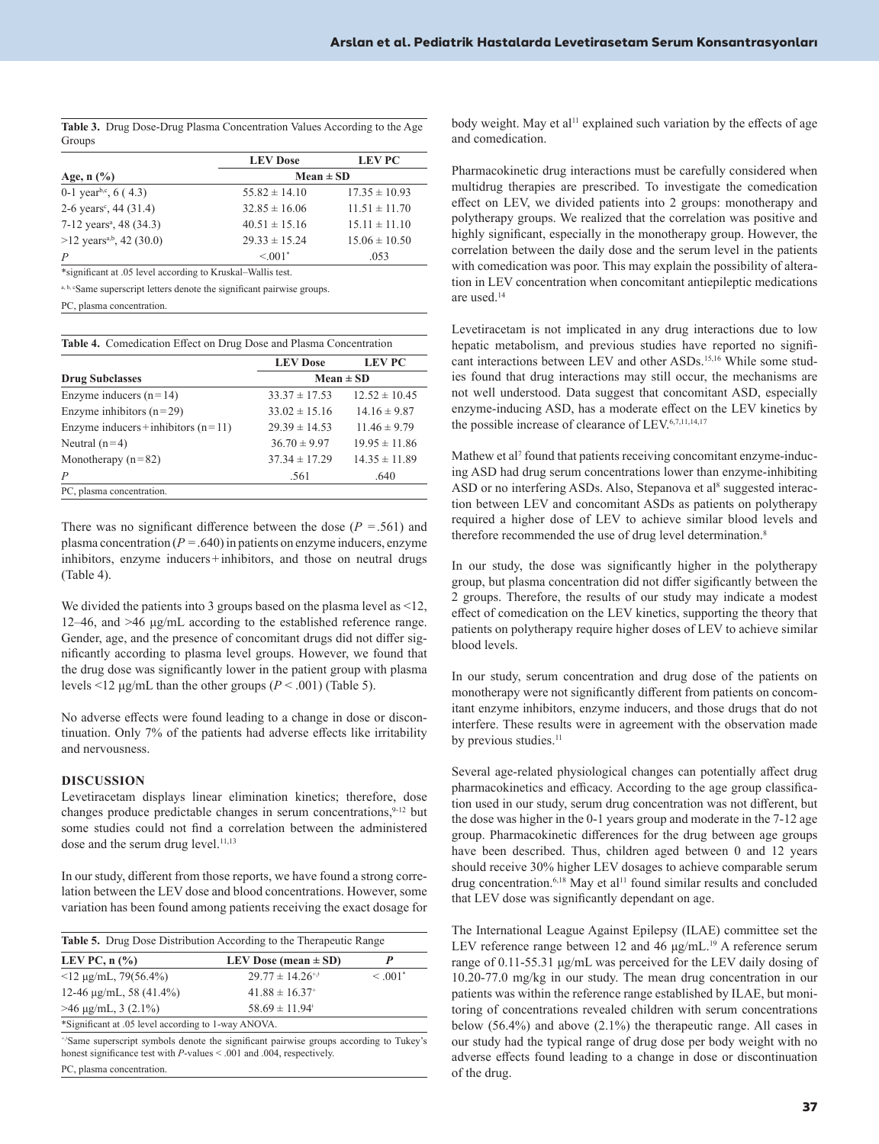<span id="page-2-0"></span>

|        | <b>Table 3.</b> Drug Dose-Drug Plasma Concentration Values According to the Age |  |  |
|--------|---------------------------------------------------------------------------------|--|--|
| Groups |                                                                                 |  |  |

|                                                                         | <b>LEV</b> Dose   | <b>LEV PC</b>     |  |
|-------------------------------------------------------------------------|-------------------|-------------------|--|
| Age, $n$ $\left(\frac{9}{6}\right)$                                     | $Mean \pm SD$     |                   |  |
| 0-1 year <sup>b,c</sup> , 6 (4.3)                                       | $55.82 \pm 14.10$ | $17.35 \pm 10.93$ |  |
| 2-6 years <sup>c</sup> , 44 (31.4)                                      | $32.85 \pm 16.06$ | $11.51 \pm 11.70$ |  |
| 7-12 years <sup>a</sup> , 48 (34.3)                                     | $40.51 \pm 15.16$ | $15.11 \pm 11.10$ |  |
| $>12$ years <sup>a,b</sup> , 42 (30.0)                                  | $29.33 \pm 15.24$ | $15.06 \pm 10.50$ |  |
| $\overline{P}$                                                          | $\leq 0.01$ *     | .053              |  |
| *significant at .05 level according to Kruskal–Wallis test.             |                   |                   |  |
| a, b, cSame superscript letters denote the significant pairwise groups. |                   |                   |  |

PC, plasma concentration.

**Table 4.** Comedication Effect on Drug Dose and Plasma Concentration

|                                       | <b>LEV</b> Dose   | <b>LEV PC</b>     |
|---------------------------------------|-------------------|-------------------|
| <b>Drug Subclasses</b>                | $Mean \pm SD$     |                   |
| Enzyme inducers $(n=14)$              | $33.37 \pm 17.53$ | $12.52 \pm 10.45$ |
| Enzyme inhibitors $(n=29)$            | $33.02 \pm 15.16$ | $14.16 \pm 9.87$  |
| Enzyme inducers + inhibitors $(n=11)$ | $29.39 \pm 14.53$ | $11.46 \pm 9.79$  |
| Neutral $(n=4)$                       | $36.70 \pm 9.97$  | $19.95 \pm 11.86$ |
| Monotherapy $(n=82)$                  | $37.34 \pm 17.29$ | $14.35 \pm 11.89$ |
| $\overline{P}$                        | .561              | .640              |
| PC, plasma concentration.             |                   |                   |

There was no significant difference between the dose  $(P = .561)$  and plasma concentration  $(P = .640)$  in patients on enzyme inducers, enzyme inhibitors, enzyme inducers+inhibitors, and those on neutral drugs (Table 4).

We divided the patients into 3 groups based on the plasma level as <12, 12–46, and >46 μg/mL according to the established reference range. Gender, age, and the presence of concomitant drugs did not differ significantly according to plasma level groups. However, we found that the drug dose was significantly lower in the patient group with plasma levels <12 μg/mL than the other groups (*P* < .001) (Table 5).

No adverse effects were found leading to a change in dose or discontinuation. Only 7% of the patients had adverse effects like irritability and nervousness.

#### **DISCUSSION**

Levetiracetam displays linear elimination kinetics; therefore, dose changes produce predictable changes in serum concentrations, $9-12$  $9-12$  but some studies could not find a correlation between the administered dose and the serum drug level.<sup>11,[13](#page-3-9)</sup>

In our study, different from those reports, we have found a strong correlation between the LEV dose and blood concentrations. However, some variation has been found among patients receiving the exact dosage for

| LEV PC, $n$ $\left(\frac{9}{6}\right)$              | LEV Dose (mean $\pm$ SD)        |               |
|-----------------------------------------------------|---------------------------------|---------------|
| $<$ 12 µg/mL, 79(56.4%)                             | $29.77 \pm 14.26$ <sup>**</sup> | $\leq .001^*$ |
| 12-46 $\mu$ g/mL, 58 (41.4%)                        | $41.88 \pm 16.37$ <sup>+</sup>  |               |
| $>46 \mu g/mL$ , 3 (2.1%)                           | $58.69 \pm 11.94^{\circ}$       |               |
| *Significant at .05 level according to 1-way ANOVA. |                                 |               |

honest significance test with *P*-values < .001 and .004, respectively. PC, plasma concentration.

body weight. May et al<sup>[11](#page-3-8)</sup> explained such variation by the effects of age and comedication.

Pharmacokinetic drug interactions must be carefully considered when multidrug therapies are prescribed. To investigate the comedication effect on LEV, we divided patients into 2 groups: monotherapy and polytherapy groups. We realized that the correlation was positive and highly significant, especially in the monotherapy group. However, the correlation between the daily dose and the serum level in the patients with comedication was poor. This may explain the possibility of alteration in LEV concentration when concomitant antiepileptic medications are used[.14](#page-3-10)

Levetiracetam is not implicated in any drug interactions due to low hepatic metabolism, and previous studies have reported no significant interactions between LEV and other ASDs[.15,](#page-3-11)[16](#page-3-12) While some studies found that drug interactions may still occur, the mechanisms are not well understood. Data suggest that concomitant ASD, especially enzyme-inducing ASD, has a moderate effect on the LEV kinetics by the possible increase of clearance of LEV.<sup>6[,7,](#page-3-13)[11](#page-3-8)[,14,](#page-3-10)[17](#page-3-14)</sup>

Mathew et al<sup>7</sup> found that patients receiving concomitant enzyme-inducing ASD had drug serum concentrations lower than enzyme-inhibiting ASD or no interfering ASDs. Also, Stepanova et al<sup>[8](#page-3-5)</sup> suggested interaction between LEV and concomitant ASDs as patients on polytherapy required a higher dose of LEV to achieve similar blood levels and therefore recommended the use of drug level determination.<sup>8</sup>

In our study, the dose was significantly higher in the polytherapy group, but plasma concentration did not differ sigificantly between the 2 groups. Therefore, the results of our study may indicate a modest effect of comedication on the LEV kinetics, supporting the theory that patients on polytherapy require higher doses of LEV to achieve similar blood levels.

In our study, serum concentration and drug dose of the patients on monotherapy were not significantly different from patients on concomitant enzyme inhibitors, enzyme inducers, and those drugs that do not interfere. These results were in agreement with the observation made by previous studies.<sup>[11](#page-3-8)</sup>

Several age-related physiological changes can potentially affect drug pharmacokinetics and efficacy. According to the age group classification used in our study, serum drug concentration was not different, but the dose was higher in the 0-1 years group and moderate in the 7-12 age group. Pharmacokinetic differences for the drug between age groups have been described. Thus, children aged between 0 and 12 years should receive 30% higher LEV dosages to achieve comparable serum drug concentration.<sup>6,18</sup> May et al<sup>11</sup> found similar results and concluded that LEV dose was significantly dependant on age.

The International League Against Epilepsy (ILAE) committee set the LEV reference range between 12 and 46 μg/mL.<sup>[19](#page-3-16)</sup> A reference serum range of 0.11-55.31 μg/mL was perceived for the LEV daily dosing of 10.20-77.0 mg/kg in our study. The mean drug concentration in our patients was within the reference range established by ILAE, but monitoring of concentrations revealed children with serum concentrations below (56.4%) and above (2.1%) the therapeutic range. All cases in our study had the typical range of drug dose per body weight with no adverse effects found leading to a change in dose or discontinuation of the drug.